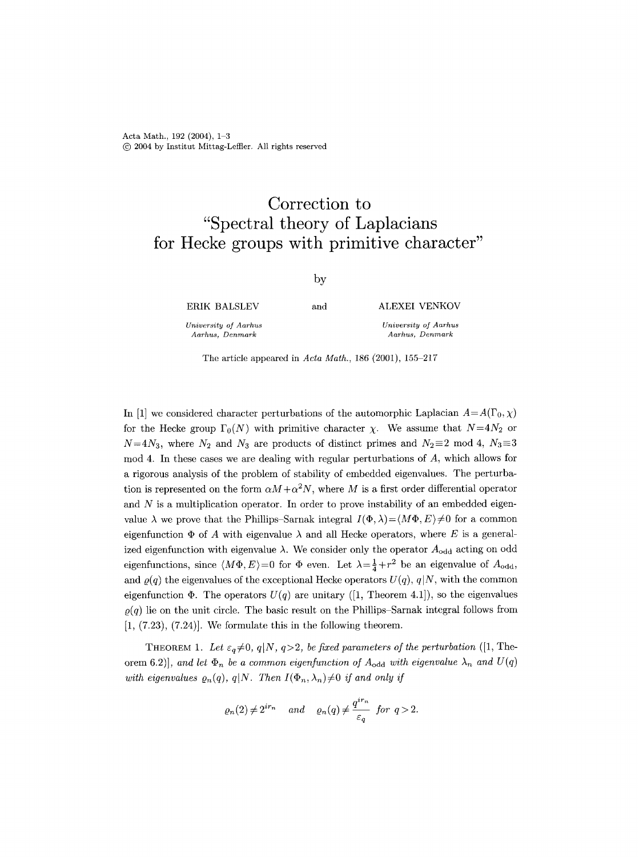Acta Math.,  $192$  (2004),  $1-3$ (c) 2004 by Institut Mittag-Leffler. All rights reserved

## **Correction to "Spectral theory of Laplacians for Hecke groups with primitive character"**

by

ERIK BALSLEV

*University of Aarhus Aarhus, Denmark* 

and ALEXEI **VENKOV** 

*University of Aarhus Aarhus, Denmark* 

The article appeared in *Acta Math.*, 186 (2001), 155-217

In [1] we considered character perturbations of the automorphic Laplacian  $A=A(\Gamma_0, \chi)$ for the Hecke group  $\Gamma_0(N)$  with primitive character  $\chi$ . We assume that  $N=4N_2$  or  $N=4N_3$ , where  $N_2$  and  $N_3$  are products of distinct primes and  $N_2\equiv 2 \mod 4$ ,  $N_3\equiv 3$  $\mod 4$ . In these cases we are dealing with regular perturbations of  $A$ , which allows for a rigorous analysis of the problem of stability of embedded eigenvalues. The perturbation is represented on the form  $\alpha M + \alpha^2 N$ , where M is a first order differential operator and  $N$  is a multiplication operator. In order to prove instability of an embedded eigenvalue  $\lambda$  we prove that the Phillips-Sarnak integral  $I(\Phi, \lambda) = \langle M\Phi, E \rangle \neq 0$  for a common eigenfunction  $\Phi$  of A with eigenvalue  $\lambda$  and all Hecke operators, where E is a generalized eigenfunction with eigenvalue  $\lambda$ . We consider only the operator  $A_{\text{odd}}$  acting on odd eigenfunctions, since  $\langle M\Phi, E\rangle = 0$  for  $\Phi$  even. Let  $\lambda = \frac{1}{4} + r^2$  be an eigenvalue of  $A_{\text{odd}}$ , and  $\rho(q)$  the eigenvalues of the exceptional Hecke operators  $U(q)$ ,  $q|N$ , with the common eigenfunction  $\Phi$ . The operators  $U(q)$  are unitary ([1, Theorem 4.1]), so the eigenvalues  $\rho(q)$  lie on the unit circle. The basic result on the Phillips-Sarnak integral follows from  $[1, (7.23), (7.24)]$ . We formulate this in the following theorem.

THEOREM 1. Let  $\varepsilon_q \neq 0$ ,  $q|N$ ,  $q>2$ , *be fixed parameters of the perturbation* ([1, Theorem 6.2)], and let  $\Phi_n$  be a common eigenfunction of  $A_{\text{odd}}$  with eigenvalue  $\lambda_n$  and  $U(q)$ *with eigenvalues*  $\varrho_n(q)$ ,  $q|N$ . Then  $I(\Phi_n, \lambda_n) \neq 0$  *if and only if* 

$$
\varrho_n(2) \neq 2^{ir_n}
$$
 and  $\varrho_n(q) \neq \frac{q^{ir_n}}{\varepsilon_q}$  for  $q > 2$ .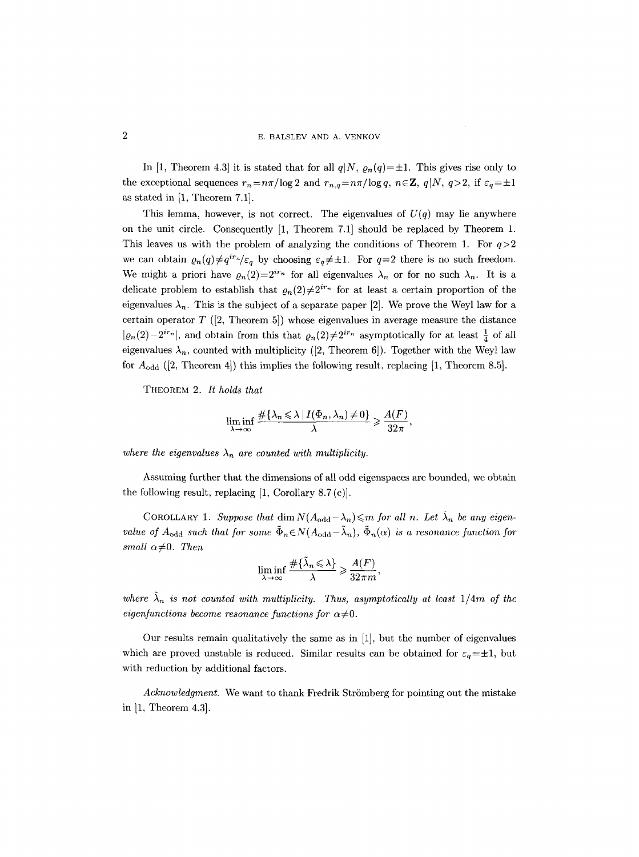In [1, Theorem 4.3] it is stated that for all  $q|N$ ,  $\rho_n(q)=\pm 1$ . This gives rise only to the exceptional sequences  $r_n=n\pi/\log 2$  and  $r_{n,q}=n\pi/\log q$ ,  $n\in\mathbb{Z}$ ,  $q|N, q>2$ , if  $\varepsilon_q=\pm 1$ as stated in [1, Theorem 7.1].

This lemma, however, is not correct. The eigenvalues of  $U(q)$  may lie anywhere on the unit circle. Consequently [1, Theorem 7.1] should be replaced by Theorem 1. This leaves us with the problem of analyzing the conditions of Theorem 1. For  $q>2$ we can obtain  $\varrho_n(q) \neq q^{ir_n}/\varepsilon_q$  by choosing  $\varepsilon_q \neq \pm 1$ . For  $q=2$  there is no such freedom. We might a priori have  $\varrho_n(2)=2^{ir_n}$  for all eigenvalues  $\lambda_n$  or for no such  $\lambda_n$ . It is a delicate problem to establish that  $\rho_n(2)\neq 2^{ir_n}$  for at least a certain proportion of the eigenvalues  $\lambda_n$ . This is the subject of a separate paper [2]. We prove the Weyl law for a certain operator  $T$  ([2, Theorem 5]) whose eigenvalues in average measure the distance  $|\varrho_n(2)-2^{ir_n}|$ , and obtain from this that  $\varrho_n(2)\neq 2^{ir_n}$  asymptotically for at least  $\frac{1}{4}$  of all eigenvalues  $\lambda_n$ , counted with multiplicity ([2, Theorem 6]). Together with the Weyl law for  $A_{\text{odd}}$  ([2, Theorem 4]) this implies the following result, replacing [1, Theorem 8.5].

THEOREM 2. *It holds that* 

$$
\liminf_{\lambda \to \infty} \frac{\#\{\lambda_n \leq \lambda \mid I(\Phi_n, \lambda_n) \neq 0\}}{\lambda} \geq \frac{A(F)}{32\pi},
$$

where the eigenvalues  $\lambda_n$  are counted with multiplicity.

Assuming further that the dimensions of all odd eigenspaces are bounded, we obtain the following result, replacing [1, Corollary 8.7 (c)].

COROLLARY 1. *Suppose that* dim  $N(A_{odd}-\lambda_n)\leq m$  for all n. Let  $\lambda_n$  be any eigen*value of A*<sub>odd</sub> *such that for some*  $\tilde{\Phi}_n \in N(A_{odd}-\tilde{\lambda}_n)$ ,  $\tilde{\Phi}_n(\alpha)$  *is a resonance function for small*  $\alpha \neq 0$ *. Then* 

$$
\liminf_{\lambda \to \infty} \frac{\#\{\tilde{\lambda}_n \leq \lambda\}}{\lambda} \geq \frac{A(F)}{32\pi m},
$$

where  $\tilde{\lambda}_n$  is not counted with multiplicity. Thus, asymptotically at least  $1/4m$  of the *eigenfunctions become resonance functions for*  $\alpha \neq 0$ .

Our results remain qualitatively the same as in [1], but the number of eigenvalues which are proved unstable is reduced. Similar results can be obtained for  $\varepsilon_q=\pm 1$ , but with reduction by additional factors.

*Acknowledgment.* We want to thank Fredrik Strömberg for pointing out the mistake in [1, Theorem 4.3].